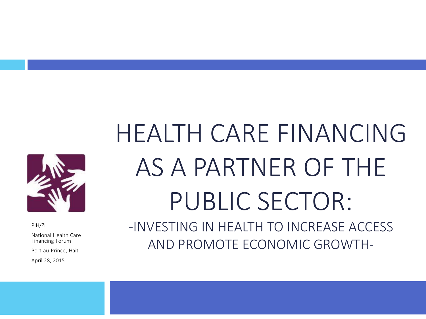

PIH/ZL

National Health Care Financing Forum

Port-au-Prince, Haiti

April 28, 2015

# HEALTH CARE FINANCING AS A PARTNER OF THE PUBLIC SECTOR: -INVESTING IN HEALTH TO INCREASE ACCESS

AND PROMOTE ECONOMIC GROWTH-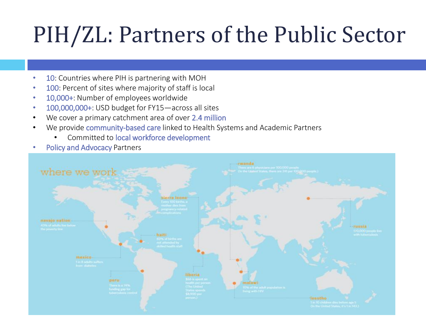## PIH/ZL: Partners of the Public Sector

- 10: Countries where PIH is partnering with MOH
- 100: Percent of sites where majority of staff is local
- 10,000+: Number of employees worldwide
- 100,000,000+: USD budget for FY15—across all sites
- We cover a primary catchment area of over 2.4 million
- We provide community-based care linked to Health Systems and Academic Partners
	- Committed to local workforce development
- Policy and Advocacy Partners

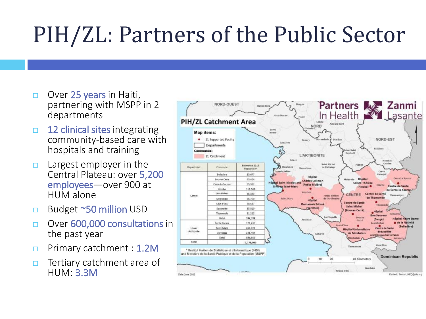## PIH/ZL: Partners of the Public Sector

- $\Box$  Over 25 years in Haiti, partnering with MSPP in 2 departments
- $\Box$  12 clinical sites integrating community-based care with hospitals and training
- $\Box$  Largest employer in the Central Plateau: over 5,200 employees—over 900 at HUM alone
- □ Budget ~50 million USD
- Over 600,000 consultations in the past year
- **Primary catchment : 1.2M**
- $\Box$  Tertiary catchment area of HUM: 3.3M

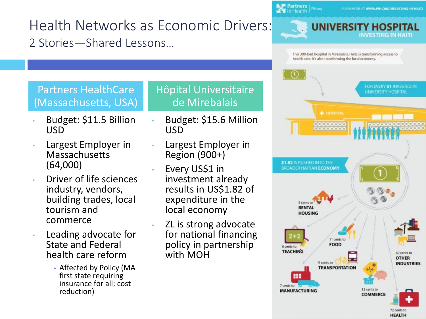Health Networks as Economic Drivers: 2 Stories—Shared Lessons…

Partners | PIH.org

#### Partners HealthCare (Massachusetts, USA)

- Budget: \$11.5 Billion USD
- Largest Employer in Massachusetts (64,000)
- Driver of life sciences industry, vendors, building trades, local tourism and commerce
- Leading advocate for State and Federal health care reform
	- Affected by Policy (MA first state requiring insurance for all; cost reduction)

Hôpital Universitaire de Mirebalais

- Budget: \$15.6 Million USD
- Largest Employer in Region (900+)
- Every US\$1 in investment already results in US\$1.82 of expenditure in the local economy
- ZL is strong advocate for national financing policy in partnership with MOH



72 cents to **HEALTH**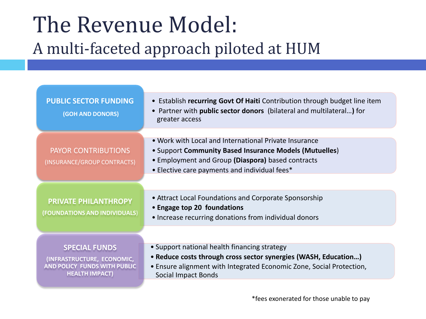### The Revenue Model: A multi-faceted approach piloted at HUM

| <b>PUBLIC SECTOR FUNDING</b><br>(GOH AND DONORS)                                                                   | • Establish recurring Govt Of Haiti Contribution through budget line item<br>• Partner with public sector donors (bilateral and multilateral) for<br>greater access                                                   |
|--------------------------------------------------------------------------------------------------------------------|-----------------------------------------------------------------------------------------------------------------------------------------------------------------------------------------------------------------------|
| <b>PAYOR CONTRIBUTIONS</b><br>(INSURANCE/GROUP CONTRACTS)                                                          | • Work with Local and International Private Insurance<br>• Support Community Based Insurance Models (Mutuelles)<br>• Employment and Group (Diaspora) based contracts<br>• Elective care payments and individual fees* |
| PRIVATE PHILANTHROPY<br>(FOUNDATIONS AND INDIVIDUALS)                                                              | • Attract Local Foundations and Corporate Sponsorship<br>• Engage top 20 foundations<br>• Increase recurring donations from individual donors                                                                         |
| <b>SPECIAL FUNDS</b><br>(INFRASTRUCTURE, ECONOMIC,<br><b>AND POLICY FUNDS WITH PUBLIC</b><br><b>HEALTH IMPACT)</b> | • Support national health financing strategy<br>• Reduce costs through cross sector synergies (WASH, Education)<br>• Ensure alignment with Integrated Economic Zone, Social Protection,<br>Social Impact Bonds        |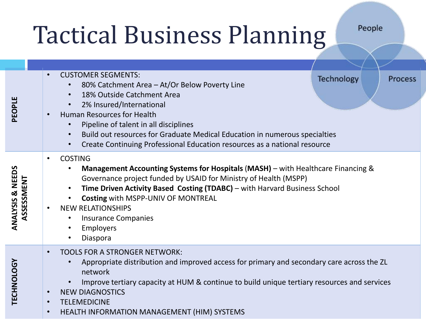# Tactical Business Planning

People

| PEOPLE                         | <b>CUSTOMER SEGMENTS:</b><br>$\bullet$<br>80% Catchment Area - At/Or Below Poverty Line<br>$\bullet$<br>18% Outside Catchment Area<br>2% Insured/International<br>$\bullet$<br><b>Human Resources for Health</b><br>Pipeline of talent in all disciplines<br>$\bullet$<br>Build out resources for Graduate Medical Education in numerous specialties<br>$\bullet$<br>Create Continuing Professional Education resources as a national resource<br>$\bullet$             | <b>Technology</b> | <b>Process</b> |  |
|--------------------------------|-------------------------------------------------------------------------------------------------------------------------------------------------------------------------------------------------------------------------------------------------------------------------------------------------------------------------------------------------------------------------------------------------------------------------------------------------------------------------|-------------------|----------------|--|
| ANALYSIS & NEEDS<br>ASSESSMENT | <b>COSTING</b><br>$\bullet$<br>Management Accounting Systems for Hospitals (MASH) – with Healthcare Financing &<br>Governance project funded by USAID for Ministry of Health (MSPP)<br>Time Driven Activity Based Costing (TDABC) - with Harvard Business School<br>$\bullet$<br>Costing with MSPP-UNIV OF MONTREAL<br>$\bullet$<br><b>NEW RELATIONSHIPS</b><br>$\bullet$<br><b>Insurance Companies</b><br>$\bullet$<br>Employers<br>$\bullet$<br>Diaspora<br>$\bullet$ |                   |                |  |
| TECHNOLOGY                     | <b>TOOLS FOR A STRONGER NETWORK:</b><br>$\bullet$<br>Appropriate distribution and improved access for primary and secondary care across the ZL<br>network<br>Improve tertiary capacity at HUM & continue to build unique tertiary resources and services<br><b>NEW DIAGNOSTICS</b><br>$\bullet$<br><b>TELEMEDICINE</b><br>$\bullet$<br>HEALTH INFORMATION MANAGEMENT (HIM) SYSTEMS<br>$\bullet$                                                                         |                   |                |  |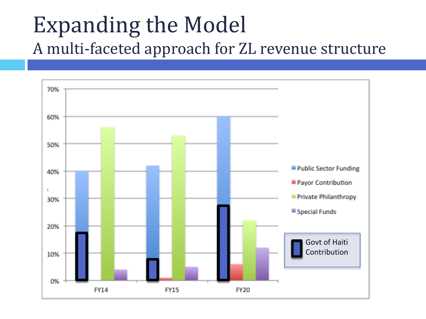#### Expanding the Model A multi-faceted approach for ZL revenue structure